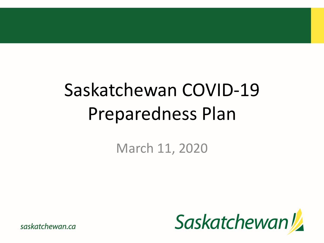## Saskatchewan COVID-19 Preparedness Plan

March 11, 2020

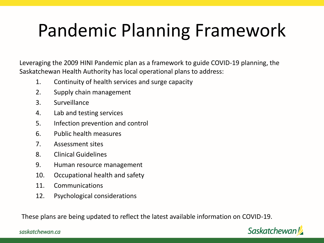### Pandemic Planning Framework

Leveraging the 2009 HINI Pandemic plan as a framework to guide COVID-19 planning, the Saskatchewan Health Authority has local operational plans to address:

- 1. Continuity of health services and surge capacity
- 2. Supply chain management
- 3. Surveillance
- 4. Lab and testing services
- 5. Infection prevention and control
- 6. Public health measures
- 7. Assessment sites
- 8. Clinical Guidelines
- 9. Human resource management
- 10. Occupational health and safety
- 11. Communications
- 12. Psychological considerations

These plans are being updated to reflect the latest available information on COVID-19.

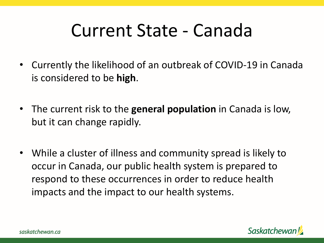#### Current State - Canada

- Currently the likelihood of an outbreak of COVID-19 in Canada is considered to be **high**.
- The current risk to the **general population** in Canada is low, but it can change rapidly.
- While a cluster of illness and community spread is likely to occur in Canada, our public health system is prepared to respond to these occurrences in order to reduce health impacts and the impact to our health systems.

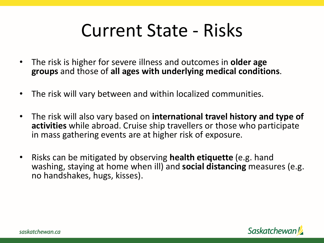#### Current State - Risks

- The risk is higher for severe illness and outcomes in **older age groups** and those of **all ages with underlying medical conditions**.
- The risk will vary between and within localized communities.
- The risk will also vary based on **international travel history and type of activities** while abroad. Cruise ship travellers or those who participate in mass gathering events are at higher risk of exposure.
- Risks can be mitigated by observing **health etiquette** (e.g. hand washing, staying at home when ill) and **social distancing** measures (e.g. no handshakes, hugs, kisses).

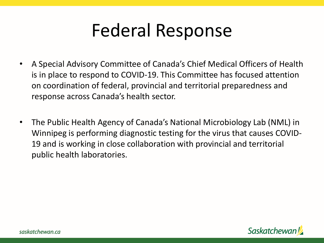#### Federal Response

- A Special Advisory Committee of Canada's Chief Medical Officers of Health is in place to respond to COVID-19. This Committee has focused attention on coordination of federal, provincial and territorial preparedness and response across Canada's health sector.
- The Public Health Agency of Canada's National Microbiology Lab (NML) in Winnipeg is performing diagnostic testing for the virus that causes COVID-19 and is working in close collaboration with provincial and territorial public health laboratories.

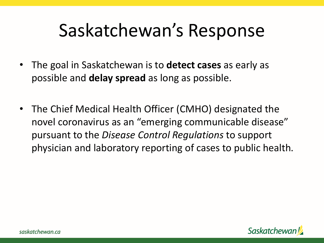- The goal in Saskatchewan is to **detect cases** as early as possible and **delay spread** as long as possible.
- The Chief Medical Health Officer (CMHO) designated the novel coronavirus as an "emerging communicable disease" pursuant to the *Disease Control Regulations* to support physician and laboratory reporting of cases to public health.

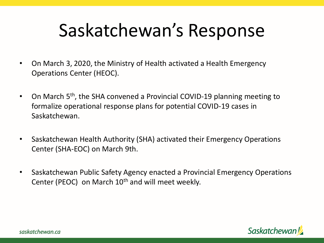- On March 3, 2020, the Ministry of Health activated a Health Emergency Operations Center (HEOC).
- On March 5<sup>th</sup>, the SHA convened a Provincial COVID-19 planning meeting to formalize operational response plans for potential COVID-19 cases in Saskatchewan.
- Saskatchewan Health Authority (SHA) activated their Emergency Operations Center (SHA-EOC) on March 9th.
- Saskatchewan Public Safety Agency enacted a Provincial Emergency Operations Center (PEOC) on March 10<sup>th</sup> and will meet weekly.

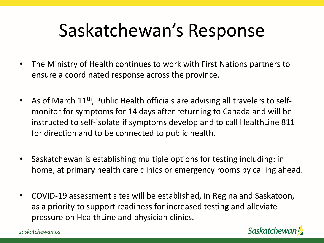- The Ministry of Health continues to work with First Nations partners to ensure a coordinated response across the province.
- As of March 11<sup>th</sup>, Public Health officials are advising all travelers to selfmonitor for symptoms for 14 days after returning to Canada and will be instructed to self-isolate if symptoms develop and to call HealthLine 811 for direction and to be connected to public health.
- Saskatchewan is establishing multiple options for testing including: in home, at primary health care clinics or emergency rooms by calling ahead.
- COVID-19 assessment sites will be established, in Regina and Saskatoon, as a priority to support readiness for increased testing and alleviate pressure on HealthLine and physician clinics.

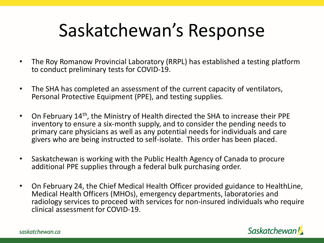- The Roy Romanow Provincial Laboratory (RRPL) has established a testing platform to conduct preliminary tests for COVID-19.
- The SHA has completed an assessment of the current capacity of ventilators, Personal Protective Equipment (PPE), and testing supplies.
- On February 14<sup>th</sup>, the Ministry of Health directed the SHA to increase their PPE inventory to ensure a six-month supply, and to consider the pending needs to primary care physicians as well as any potential needs for individuals and care givers who are being instructed to self-isolate. This order has been placed.
- Saskatchewan is working with the Public Health Agency of Canada to procure additional PPE supplies through a federal bulk purchasing order.
- On February 24, the Chief Medical Health Officer provided guidance to HealthLine, Medical Health Officers (MHOs), emergency departments, laboratories and radiology services to proceed with services for non-insured individuals who require clinical assessment for COVID-19.

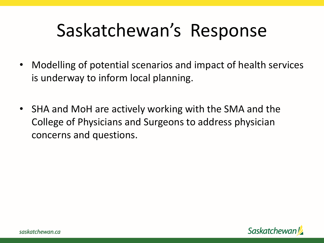- Modelling of potential scenarios and impact of health services is underway to inform local planning.
- SHA and MoH are actively working with the SMA and the College of Physicians and Surgeons to address physician concerns and questions.

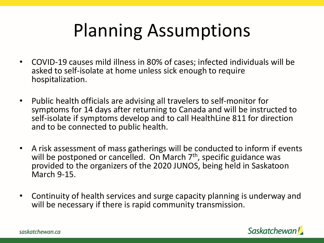### Planning Assumptions

- COVID-19 causes mild illness in 80% of cases; infected individuals will be asked to self-isolate at home unless sick enough to require hospitalization.
- Public health officials are advising all travelers to self-monitor for symptoms for 14 days after returning to Canada and will be instructed to self-isolate if symptoms develop and to call HealthLine 811 for direction and to be connected to public health.
- A risk assessment of mass gatherings will be conducted to inform if events will be postponed or cancelled. On March  $7<sup>th</sup>$ , specific guidance was provided to the organizers of the 2020 JUNOS, being held in Saskatoon March 9-15.
- Continuity of health services and surge capacity planning is underway and will be necessary if there is rapid community transmission.